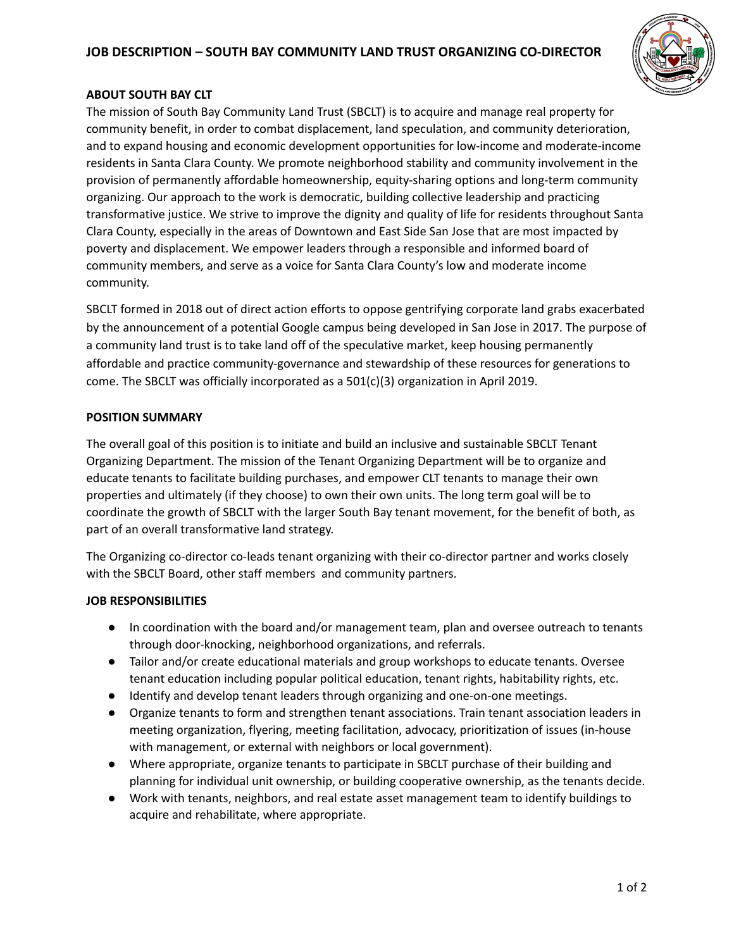# **JOB DESCRIPTION – SOUTH BAY COMMUNITY LAND TRUST ORGANIZING CO-DIRECTOR**



## **ABOUT SOUTH BAY CLT**

The mission of South Bay Community Land Trust (SBCLT) is to acquire and manage real property for community benefit, in order to combat displacement, land speculation, and community deterioration, and to expand housing and economic development opportunities for low-income and moderate-income residents in Santa Clara County. We promote neighborhood stability and community involvement in the provision of permanently affordable homeownership, equity-sharing options and long-term community organizing. Our approach to the work is democratic, building collective leadership and practicing transformative justice. We strive to improve the dignity and quality of life for residents throughout Santa Clara County, especially in the areas of Downtown and East Side San Jose that are most impacted by poverty and displacement. We empower leaders through a responsible and informed board of community members, and serve as a voice for Santa Clara County's low and moderate income community.

SBCLT formed in 2018 out of direct action efforts to oppose gentrifying corporate land grabs exacerbated by the announcement of a potential Google campus being developed in San Jose in 2017. The purpose of a community land trust is to take land off of the speculative market, keep housing permanently affordable and practice community-governance and stewardship of these resources for generations to come. The SBCLT was officially incorporated as a 501(c)(3) organization in April 2019.

### **POSITION SUMMARY**

The overall goal of this position is to initiate and build an inclusive and sustainable SBCLT Tenant Organizing Department. The mission of the Tenant Organizing Department will be to organize and educate tenants to facilitate building purchases, and empower CLT tenants to manage their own properties and ultimately (if they choose) to own their own units. The long term goal will be to coordinate the growth of SBCLT with the larger South Bay tenant movement, for the benefit of both, as part of an overall transformative land strategy.

The Organizing co-director co-leads tenant organizing with their co-director partner and works closely with the SBCLT Board, other staff members and community partners.

#### **JOB RESPONSIBILITIES**

- In coordination with the board and/or management team, plan and oversee outreach to tenants through door-knocking, neighborhood organizations, and referrals.
- Tailor and/or create educational materials and group workshops to educate tenants. Oversee tenant education including popular political education, tenant rights, habitability rights, etc.
- Identify and develop tenant leaders through organizing and one-on-one meetings.
- Organize tenants to form and strengthen tenant associations. Train tenant association leaders in meeting organization, flyering, meeting facilitation, advocacy, prioritization of issues (in-house with management, or external with neighbors or local government).
- Where appropriate, organize tenants to participate in SBCLT purchase of their building and planning for individual unit ownership, or building cooperative ownership, as the tenants decide.
- Work with tenants, neighbors, and real estate asset management team to identify buildings to acquire and rehabilitate, where appropriate.